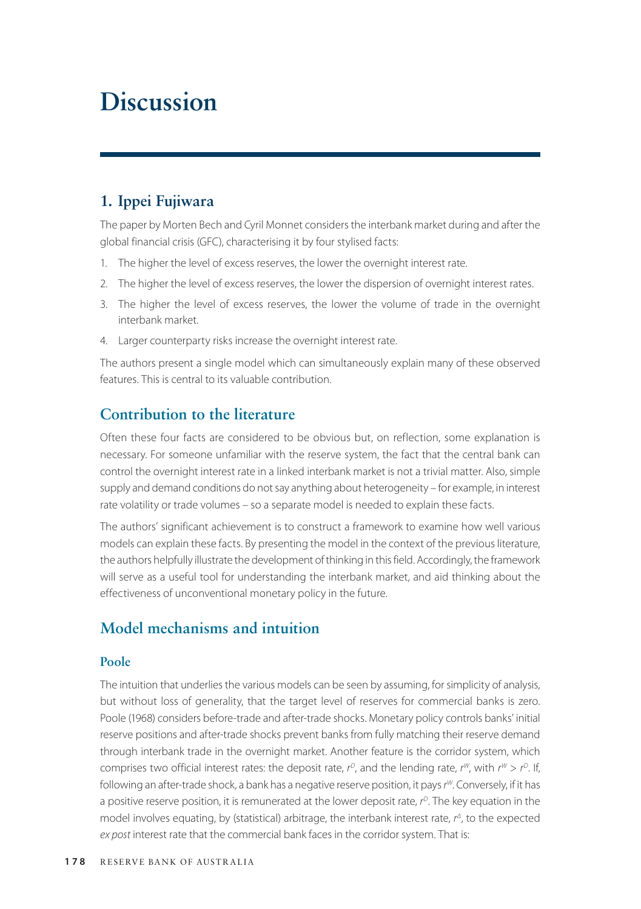# **Discussion**

# **1. Ippei Fujiwara**

The paper by Morten Bech and Cyril Monnet considers the interbank market during and after the global financial crisis (GFC), characterising it by four stylised facts:

- 1. The higher the level of excess reserves, the lower the overnight interest rate.
- 2. The higher the level of excess reserves, the lower the dispersion of overnight interest rates.
- 3. The higher the level of excess reserves, the lower the volume of trade in the overnight interbank market.
- 4. Larger counterparty risks increase the overnight interest rate.

The authors present a single model which can simultaneously explain many of these observed features. This is central to its valuable contribution.

# **Contribution to the literature**

Often these four facts are considered to be obvious but, on reflection, some explanation is necessary. For someone unfamiliar with the reserve system, the fact that the central bank can control the overnight interest rate in a linked interbank market is not a trivial matter. Also, simple supply and demand conditions do not say anything about heterogeneity – for example, in interest rate volatility or trade volumes – so a separate model is needed to explain these facts.

The authors' significant achievement is to construct a framework to examine how well various models can explain these facts. By presenting the model in the context of the previous literature, the authors helpfully illustrate the development of thinking in this field. Accordingly, the framework will serve as a useful tool for understanding the interbank market, and aid thinking about the effectiveness of unconventional monetary policy in the future.

# **Model mechanisms and intuition**

#### **Poole**

The intuition that underlies the various models can be seen by assuming, for simplicity of analysis, but without loss of generality, that the target level of reserves for commercial banks is zero. Poole (1968) considers before-trade and after-trade shocks. Monetary policy controls banks' initial reserve positions and after-trade shocks prevent banks from fully matching their reserve demand through interbank trade in the overnight market. Another feature is the corridor system, which comprises two official interest rates: the deposit rate,  $r^D$ , and the lending rate,  $r^W$ , with  $r^W > r^D$ . If, following an after-trade shock, a bank has a negative reserve position, it pays *r <sup>W</sup>*. Conversely, if it has a positive reserve position, it is remunerated at the lower deposit rate,  $r^0$ . The key equation in the model involves equating, by (statistical) arbitrage, the interbank interest rate, *r <sup>Δ</sup>*, to the expected *ex post* interest rate that the commercial bank faces in the corridor system. That is: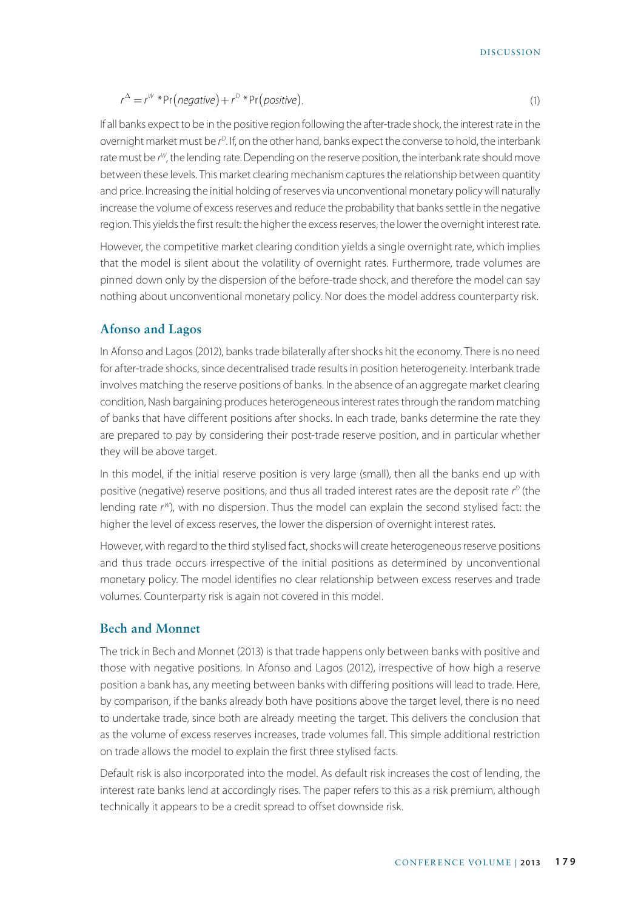DISCUSSION

$$
r^{\Delta} = r^W * Pr(negative) + r^D * Pr(positive).
$$
\n(1)

If all banks expect to be in the positive region following the after-trade shock, the interest rate in the overnight market must be *r <sup>D</sup>*. If, on the other hand, banks expect the converse to hold, the interbank rate must be r<sup>w</sup>, the lending rate. Depending on the reserve position, the interbank rate should move between these levels. This market clearing mechanism captures the relationship between quantity and price. Increasing the initial holding of reserves via unconventional monetary policy will naturally increase the volume of excess reserves and reduce the probability that banks settle in the negative region. This yields the first result: the higher the excess reserves, the lower the overnight interest rate.

However, the competitive market clearing condition yields a single overnight rate, which implies that the model is silent about the volatility of overnight rates. Furthermore, trade volumes are pinned down only by the dispersion of the before-trade shock, and therefore the model can say nothing about unconventional monetary policy. Nor does the model address counterparty risk.

#### **Afonso and Lagos**

In Afonso and Lagos (2012), banks trade bilaterally after shocks hit the economy. There is no need for after-trade shocks, since decentralised trade results in position heterogeneity. Interbank trade involves matching the reserve positions of banks. In the absence of an aggregate market clearing condition, Nash bargaining produces heterogeneous interest rates through the random matching of banks that have different positions after shocks. In each trade, banks determine the rate they are prepared to pay by considering their post-trade reserve position, and in particular whether they will be above target.

In this model, if the initial reserve position is very large (small), then all the banks end up with positive (negative) reserve positions, and thus all traded interest rates are the deposit rate *r <sup>D</sup>* (the lending rate *r <sup>W</sup>*), with no dispersion. Thus the model can explain the second stylised fact: the higher the level of excess reserves, the lower the dispersion of overnight interest rates.

However, with regard to the third stylised fact, shocks will create heterogeneous reserve positions and thus trade occurs irrespective of the initial positions as determined by unconventional monetary policy. The model identifies no clear relationship between excess reserves and trade volumes. Counterparty risk is again not covered in this model.

#### **Bech and Monnet**

The trick in Bech and Monnet (2013) is that trade happens only between banks with positive and those with negative positions. In Afonso and Lagos (2012), irrespective of how high a reserve position a bank has, any meeting between banks with differing positions will lead to trade. Here, by comparison, if the banks already both have positions above the target level, there is no need to undertake trade, since both are already meeting the target. This delivers the conclusion that as the volume of excess reserves increases, trade volumes fall. This simple additional restriction on trade allows the model to explain the first three stylised facts.

Default risk is also incorporated into the model. As default risk increases the cost of lending, the interest rate banks lend at accordingly rises. The paper refers to this as a risk premium, although technically it appears to be a credit spread to offset downside risk.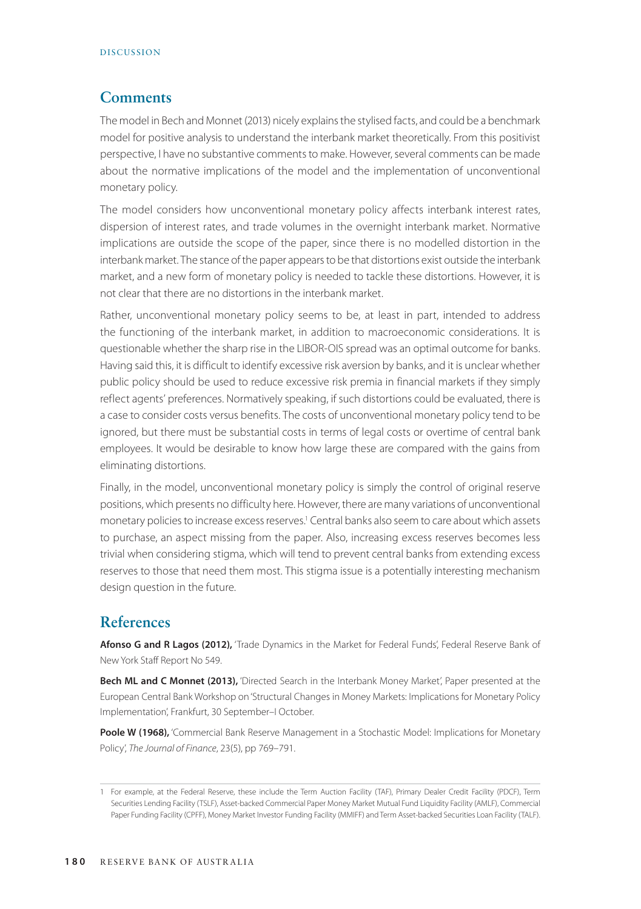### **Comments**

The model in Bech and Monnet (2013) nicely explains the stylised facts, and could be a benchmark model for positive analysis to understand the interbank market theoretically. From this positivist perspective, I have no substantive comments to make. However, several comments can be made about the normative implications of the model and the implementation of unconventional monetary policy.

The model considers how unconventional monetary policy affects interbank interest rates, dispersion of interest rates, and trade volumes in the overnight interbank market. Normative implications are outside the scope of the paper, since there is no modelled distortion in the interbank market. The stance of the paper appears to be that distortions exist outside the interbank market, and a new form of monetary policy is needed to tackle these distortions. However, it is not clear that there are no distortions in the interbank market.

Rather, unconventional monetary policy seems to be, at least in part, intended to address the functioning of the interbank market, in addition to macroeconomic considerations. It is questionable whether the sharp rise in the LIBOR-OIS spread was an optimal outcome for banks. Having said this, it is difficult to identify excessive risk aversion by banks, and it is unclear whether public policy should be used to reduce excessive risk premia in financial markets if they simply reflect agents' preferences. Normatively speaking, if such distortions could be evaluated, there is a case to consider costs versus benefits. The costs of unconventional monetary policy tend to be ignored, but there must be substantial costs in terms of legal costs or overtime of central bank employees. It would be desirable to know how large these are compared with the gains from eliminating distortions.

Finally, in the model, unconventional monetary policy is simply the control of original reserve positions, which presents no difficulty here. However, there are many variations of unconventional monetary policies to increase excess reserves.<sup>1</sup> Central banks also seem to care about which assets to purchase, an aspect missing from the paper. Also, increasing excess reserves becomes less trivial when considering stigma, which will tend to prevent central banks from extending excess reserves to those that need them most. This stigma issue is a potentially interesting mechanism design question in the future.

## **References**

Afonso G and R Lagos (2012), 'Trade Dynamics in the Market for Federal Funds', Federal Reserve Bank of New York Staff Report No 549.

**Bech ML and C Monnet (2013),** 'Directed Search in the Interbank Money Market', Paper presented at the European Central Bank Workshop on 'Structural Changes in Money Markets: Implications for Monetary Policy Implementation', Frankfurt, 30 September–I October.

Poole W (1968), 'Commercial Bank Reserve Management in a Stochastic Model: Implications for Monetary Policy', *The Journal of Finance*, 23(5), pp 769–791.

<sup>1</sup> For example, at the Federal Reserve, these include the Term Auction Facility (TAF), Primary Dealer Credit Facility (PDCF), Term Securities Lending Facility (TSLF), Asset-backed Commercial Paper Money Market Mutual Fund Liquidity Facility (AMLF), Commercial Paper Funding Facility (CPFF), Money Market Investor Funding Facility (MMIFF) and Term Asset-backed Securities Loan Facility (TALF).